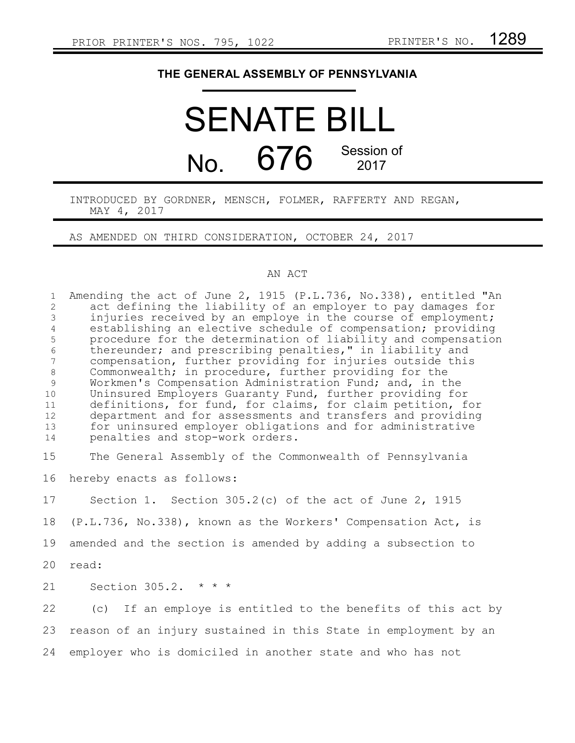## **THE GENERAL ASSEMBLY OF PENNSYLVANIA**

## SENATE BILL No.  $676$  Session of 2017

## INTRODUCED BY GORDNER, MENSCH, FOLMER, RAFFERTY AND REGAN, MAY 4, 2017

AS AMENDED ON THIRD CONSIDERATION, OCTOBER 24, 2017

## AN ACT

Amending the act of June 2, 1915 (P.L.736, No.338), entitled "An act defining the liability of an employer to pay damages for injuries received by an employe in the course of employment; establishing an elective schedule of compensation; providing procedure for the determination of liability and compensation thereunder; and prescribing penalties," in liability and compensation, further providing for injuries outside this Commonwealth; in procedure, further providing for the Workmen's Compensation Administration Fund; and, in the Uninsured Employers Guaranty Fund, further providing for definitions, for fund, for claims, for claim petition, for department and for assessments and transfers and providing for uninsured employer obligations and for administrative penalties and stop-work orders. 1 2 3 4 5 6 7 8 9 10 11 12 13 14

The General Assembly of the Commonwealth of Pennsylvania 15

hereby enacts as follows: 16

Section 1. Section 305.2(c) of the act of June 2, 1915 (P.L.736, No.338), known as the Workers' Compensation Act, is amended and the section is amended by adding a subsection to read: 17 18 19 20

Section 305.2. \* \* \* 21

(c) If an employe is entitled to the benefits of this act by reason of an injury sustained in this State in employment by an employer who is domiciled in another state and who has not 22 23 24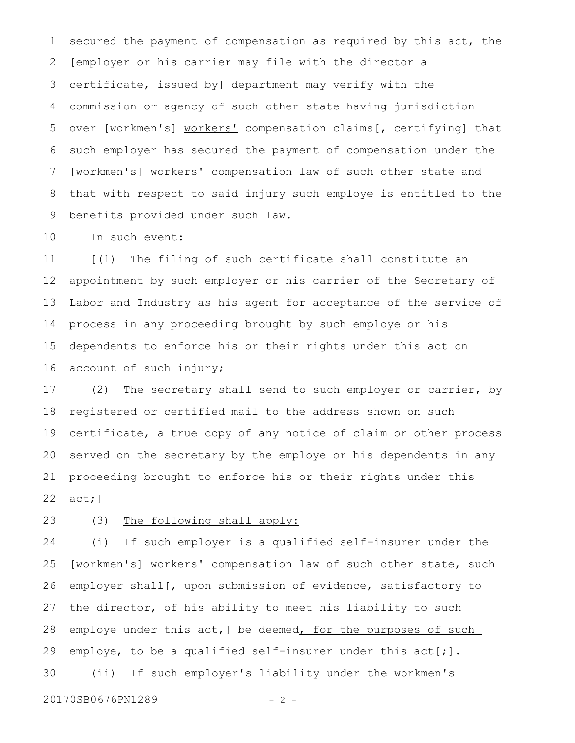secured the payment of compensation as required by this act, the [employer or his carrier may file with the director a certificate, issued by] department may verify with the commission or agency of such other state having jurisdiction over [workmen's] workers' compensation claims[, certifying] that such employer has secured the payment of compensation under the [workmen's] workers' compensation law of such other state and that with respect to said injury such employe is entitled to the benefits provided under such law. 1 2 3 4 5 6 7 8 9

In such event: 10

[(1) The filing of such certificate shall constitute an appointment by such employer or his carrier of the Secretary of Labor and Industry as his agent for acceptance of the service of process in any proceeding brought by such employe or his dependents to enforce his or their rights under this act on account of such injury; 11 12 13 14 15 16

(2) The secretary shall send to such employer or carrier, by registered or certified mail to the address shown on such certificate, a true copy of any notice of claim or other process served on the secretary by the employe or his dependents in any proceeding brought to enforce his or their rights under this act;] 17 18 19 20 21 22

(3) The following shall apply: 23

(i) If such employer is a qualified self-insurer under the [workmen's] workers' compensation law of such other state, such employer shall[, upon submission of evidence, satisfactory to the director, of his ability to meet his liability to such employe under this act, ] be deemed, for the purposes of such employe, to be a qualified self-insurer under this  $act[j]$ . (ii) If such employer's liability under the workmen's 24 25 26 27 28 29 30

20170SB0676PN1289 - 2 -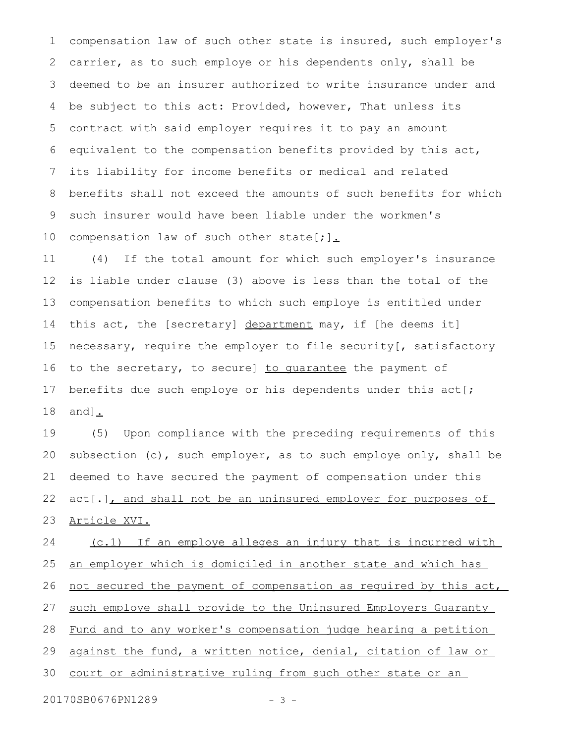compensation law of such other state is insured, such employer's carrier, as to such employe or his dependents only, shall be deemed to be an insurer authorized to write insurance under and be subject to this act: Provided, however, That unless its contract with said employer requires it to pay an amount equivalent to the compensation benefits provided by this act, its liability for income benefits or medical and related benefits shall not exceed the amounts of such benefits for which such insurer would have been liable under the workmen's compensation law of such other state[;]. 1 2 3 4 5 6 7 8 9 10

(4) If the total amount for which such employer's insurance is liable under clause (3) above is less than the total of the compensation benefits to which such employe is entitled under this act, the [secretary] department may, if [he deems it] necessary, require the employer to file security[, satisfactory to the secretary, to secure] to quarantee the payment of benefits due such employe or his dependents under this act[; and]. 11 12 13 14 15 16 17 18

(5) Upon compliance with the preceding requirements of this subsection (c), such employer, as to such employe only, shall be deemed to have secured the payment of compensation under this act[.], and shall not be an uninsured employer for purposes of Article XVI. 19 20 21 22 23

(c.1) If an employe alleges an injury that is incurred with an employer which is domiciled in another state and which has not secured the payment of compensation as required by this act, such employe shall provide to the Uninsured Employers Guaranty Fund and to any worker's compensation judge hearing a petition against the fund, a written notice, denial, citation of law or court or administrative ruling from such other state or an 24 25 26 27 28 29 30

20170SB0676PN1289 - 3 -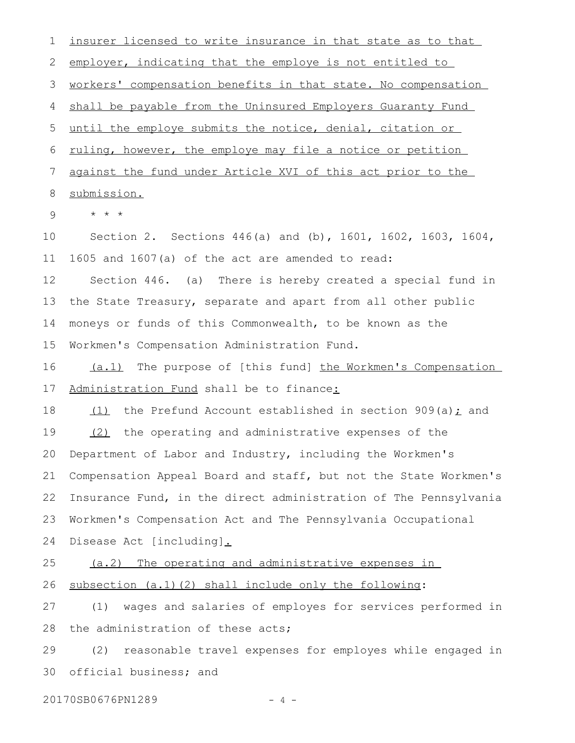insurer licensed to write insurance in that state as to that employer, indicating that the employe is not entitled to workers' compensation benefits in that state. No compensation shall be payable from the Uninsured Employers Guaranty Fund until the employe submits the notice, denial, citation or ruling, however, the employe may file a notice or petition against the fund under Article XVI of this act prior to the submission. \* \* \* Section 2. Sections 446(a) and (b), 1601, 1602, 1603, 1604, 1605 and 1607(a) of the act are amended to read: Section 446. (a) There is hereby created a special fund in the State Treasury, separate and apart from all other public moneys or funds of this Commonwealth, to be known as the Workmen's Compensation Administration Fund. (a.1) The purpose of [this fund] the Workmen's Compensation Administration Fund shall be to finance:  $(1)$  the Prefund Account established in section 909(a); and (2) the operating and administrative expenses of the Department of Labor and Industry, including the Workmen's Compensation Appeal Board and staff, but not the State Workmen's Insurance Fund, in the direct administration of The Pennsylvania Workmen's Compensation Act and The Pennsylvania Occupational Disease Act [including]. (a.2) The operating and administrative expenses in subsection (a.1)(2) shall include only the following: (1) wages and salaries of employes for services performed in the administration of these acts; (2) reasonable travel expenses for employes while engaged in official business; and 1 2 3 4 5 6 7 8 9 10 11 12 13 14 15 16 17 18 19 20 21 22 23 24 25 26 27 28 29 30

20170SB0676PN1289 - 4 -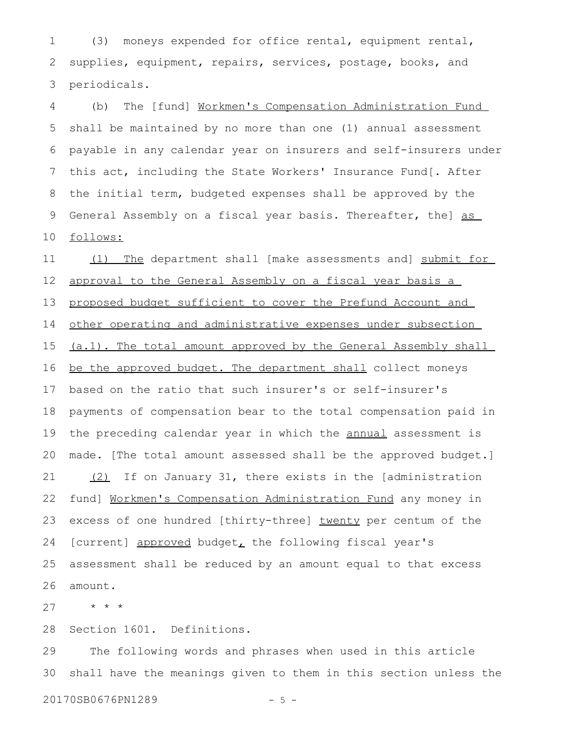(3) moneys expended for office rental, equipment rental, supplies, equipment, repairs, services, postage, books, and periodicals. 1 2 3

(b) The [fund] Workmen's Compensation Administration Fund shall be maintained by no more than one (1) annual assessment payable in any calendar year on insurers and self-insurers under this act, including the State Workers' Insurance Fund[. After the initial term, budgeted expenses shall be approved by the General Assembly on a fiscal year basis. Thereafter, the] as follows: 4 5 6 7 8 9 10

(1) The department shall [make assessments and] submit for approval to the General Assembly on a fiscal year basis a proposed budget sufficient to cover the Prefund Account and other operating and administrative expenses under subsection (a.1). The total amount approved by the General Assembly shall be the approved budget. The department shall collect moneys based on the ratio that such insurer's or self-insurer's payments of compensation bear to the total compensation paid in the preceding calendar year in which the annual assessment is made. [The total amount assessed shall be the approved budget.] (2) If on January 31, there exists in the [administration fund] Workmen's Compensation Administration Fund any money in excess of one hundred [thirty-three] twenty per centum of the [current] approved budget, the following fiscal year's assessment shall be reduced by an amount equal to that excess amount. 11 12 13 14 15 16 17 18 19 20 21 22 23 24 25 26

\* \* \* 27

Section 1601. Definitions. 28

The following words and phrases when used in this article shall have the meanings given to them in this section unless the 29 30

20170SB0676PN1289 - 5 -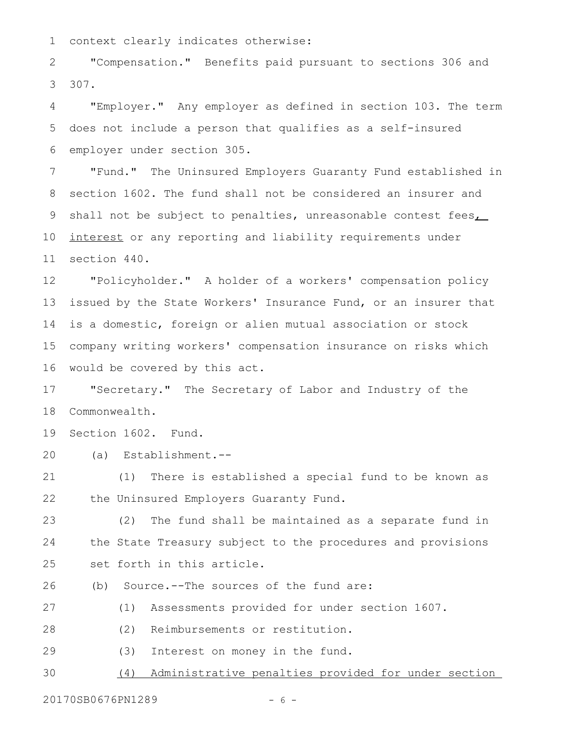context clearly indicates otherwise: 1

"Compensation." Benefits paid pursuant to sections 306 and 307. 2 3

"Employer." Any employer as defined in section 103. The term does not include a person that qualifies as a self-insured employer under section 305. 4 5 6

"Fund." The Uninsured Employers Guaranty Fund established in section 1602. The fund shall not be considered an insurer and shall not be subject to penalties, unreasonable contest fees interest or any reporting and liability requirements under section 440. 7 8 9 10 11

"Policyholder." A holder of a workers' compensation policy issued by the State Workers' Insurance Fund, or an insurer that is a domestic, foreign or alien mutual association or stock company writing workers' compensation insurance on risks which would be covered by this act. 12 13 14 15 16

"Secretary." The Secretary of Labor and Industry of the Commonwealth. 17 18

Section 1602. Fund. 19

(a) Establishment.-- 20

(1) There is established a special fund to be known as the Uninsured Employers Guaranty Fund. 21 22

(2) The fund shall be maintained as a separate fund in the State Treasury subject to the procedures and provisions set forth in this article. 23 24 25

(b) Source.--The sources of the fund are: 26

(1) Assessments provided for under section 1607. 27

(2) Reimbursements or restitution. 28

(3) Interest on money in the fund. 29

(4) Administrative penalties provided for under section 30

20170SB0676PN1289 - 6 -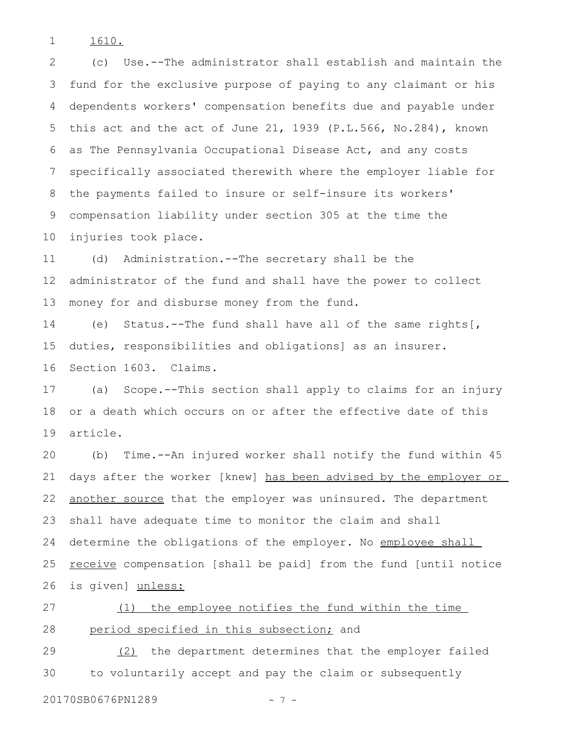1610. 1

(c) Use.--The administrator shall establish and maintain the fund for the exclusive purpose of paying to any claimant or his dependents workers' compensation benefits due and payable under this act and the act of June 21, 1939 (P.L.566, No.284), known as The Pennsylvania Occupational Disease Act, and any costs specifically associated therewith where the employer liable for the payments failed to insure or self-insure its workers' compensation liability under section 305 at the time the injuries took place. 2 3 4 5 6 7 8 9 10

(d) Administration.--The secretary shall be the administrator of the fund and shall have the power to collect money for and disburse money from the fund. 11 12 13

(e) Status.--The fund shall have all of the same rights[, duties, responsibilities and obligations] as an insurer. Section 1603. Claims. 14 15 16

(a) Scope.--This section shall apply to claims for an injury or a death which occurs on or after the effective date of this article. 17 18 19

(b) Time.--An injured worker shall notify the fund within 45 days after the worker [knew] has been advised by the employer or another source that the employer was uninsured. The department shall have adequate time to monitor the claim and shall determine the obligations of the employer. No employee shall receive compensation [shall be paid] from the fund [until notice is given] unless: 20 21 22 23 24 25 26

(1) the employee notifies the fund within the time period specified in this subsection; and 27 28

(2) the department determines that the employer failed to voluntarily accept and pay the claim or subsequently 29 30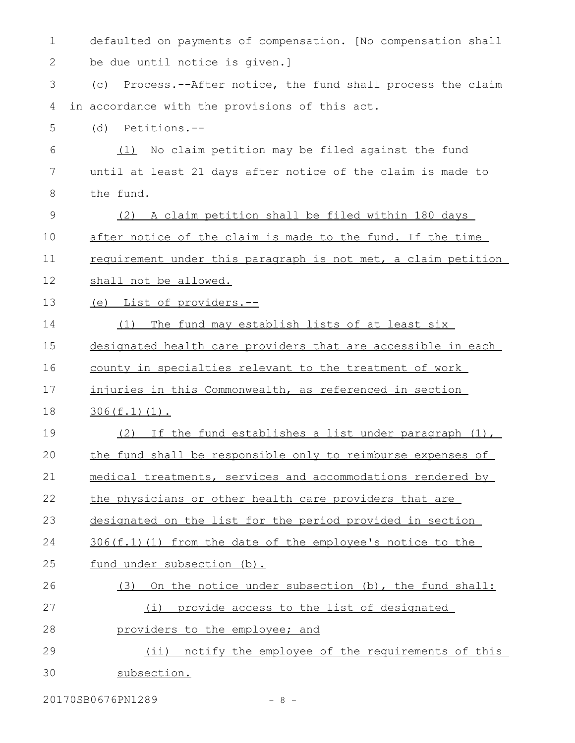| 1           | defaulted on payments of compensation. [No compensation shall   |  |  |  |  |  |  |  |  |  |
|-------------|-----------------------------------------------------------------|--|--|--|--|--|--|--|--|--|
| 2           | be due until notice is given.]                                  |  |  |  |  |  |  |  |  |  |
| 3           | Process.--After notice, the fund shall process the claim<br>(C) |  |  |  |  |  |  |  |  |  |
| 4           | in accordance with the provisions of this act.                  |  |  |  |  |  |  |  |  |  |
| 5           | Petitions.--<br>(d)                                             |  |  |  |  |  |  |  |  |  |
| 6           | (1) No claim petition may be filed against the fund             |  |  |  |  |  |  |  |  |  |
| 7           | until at least 21 days after notice of the claim is made to     |  |  |  |  |  |  |  |  |  |
| 8           | the fund.                                                       |  |  |  |  |  |  |  |  |  |
| $\mathsf 9$ | (2) A claim petition shall be filed within 180 days             |  |  |  |  |  |  |  |  |  |
| 10          | after notice of the claim is made to the fund. If the time      |  |  |  |  |  |  |  |  |  |
| 11          | requirement under this paragraph is not met, a claim petition   |  |  |  |  |  |  |  |  |  |
| 12          | shall not be allowed.                                           |  |  |  |  |  |  |  |  |  |
| 13          | (e) List of providers.--                                        |  |  |  |  |  |  |  |  |  |
| 14          | The fund may establish lists of at least six<br>(1)             |  |  |  |  |  |  |  |  |  |
| 15          | designated health care providers that are accessible in each    |  |  |  |  |  |  |  |  |  |
| 16          | county in specialties relevant to the treatment of work         |  |  |  |  |  |  |  |  |  |
| 17          | injuries in this Commonwealth, as referenced in section         |  |  |  |  |  |  |  |  |  |
| 18          | $306(f.1)(1)$ .                                                 |  |  |  |  |  |  |  |  |  |
| 19          | If the fund establishes a list under paragraph (1),<br>(2)      |  |  |  |  |  |  |  |  |  |
| 20          | the fund shall be responsible only to reimburse expenses of     |  |  |  |  |  |  |  |  |  |
| 21          | medical treatments, services and accommodations rendered by     |  |  |  |  |  |  |  |  |  |
|             |                                                                 |  |  |  |  |  |  |  |  |  |
| 22          | the physicians or other health care providers that are          |  |  |  |  |  |  |  |  |  |
| 23          | designated on the list for the period provided in section       |  |  |  |  |  |  |  |  |  |
| 24          | 306(f.1)(1) from the date of the employee's notice to the       |  |  |  |  |  |  |  |  |  |
| 25          | fund under subsection (b).                                      |  |  |  |  |  |  |  |  |  |
| 26          | On the notice under subsection (b), the fund shall:<br>(3)      |  |  |  |  |  |  |  |  |  |
| 27          | provide access to the list of designated<br>(i)                 |  |  |  |  |  |  |  |  |  |
| 28          | providers to the employee; and                                  |  |  |  |  |  |  |  |  |  |
| 29          | notify the employee of the requirements of this<br>$(i$ i)      |  |  |  |  |  |  |  |  |  |

20170SB0676PN1289 - 8 -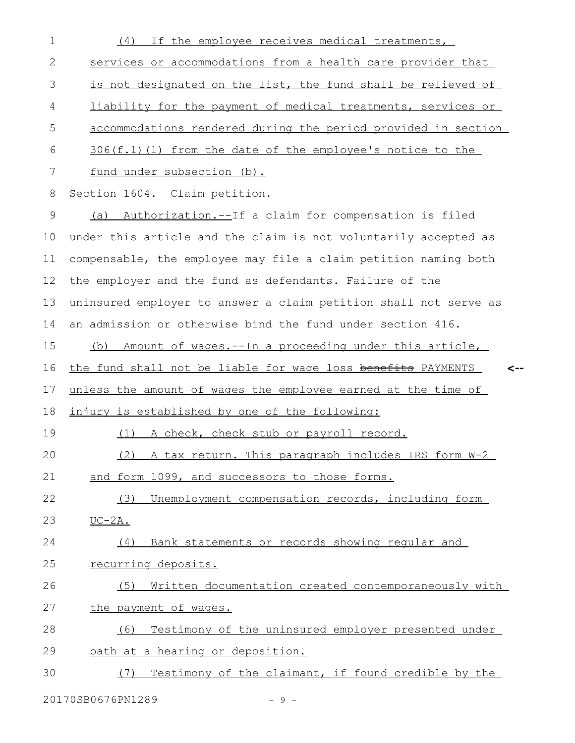(4) If the employee receives medical treatments, services or accommodations from a health care provider that is not designated on the list, the fund shall be relieved of liability for the payment of medical treatments, services or accommodations rendered during the period provided in section 306(f.1)(1) from the date of the employee's notice to the fund under subsection (b). Section 1604. Claim petition. (a) Authorization.--If a claim for compensation is filed under this article and the claim is not voluntarily accepted as compensable, the employee may file a claim petition naming both the employer and the fund as defendants. Failure of the uninsured employer to answer a claim petition shall not serve as an admission or otherwise bind the fund under section 416. (b) Amount of wages.--In a proceeding under this article, the fund shall not be liable for wage loss benefits PAYMENTS unless the amount of wages the employee earned at the time of injury is established by one of the following: (1) A check, check stub or payroll record. (2) A tax return. This paragraph includes IRS form W-2 and form 1099, and successors to those forms. (3) Unemployment compensation records, including form UC-2A. (4) Bank statements or records showing regular and recurring deposits. (5) Written documentation created contemporaneously with the payment of wages. (6) Testimony of the uninsured employer presented under oath at a hearing or deposition. (7) Testimony of the claimant, if found credible by the **<--** 1 2 3 4 5 6 7 8 9 10 11 12 13 14 15 16 17 18 19 20 21 22 23 24 25 26 27 28 29 30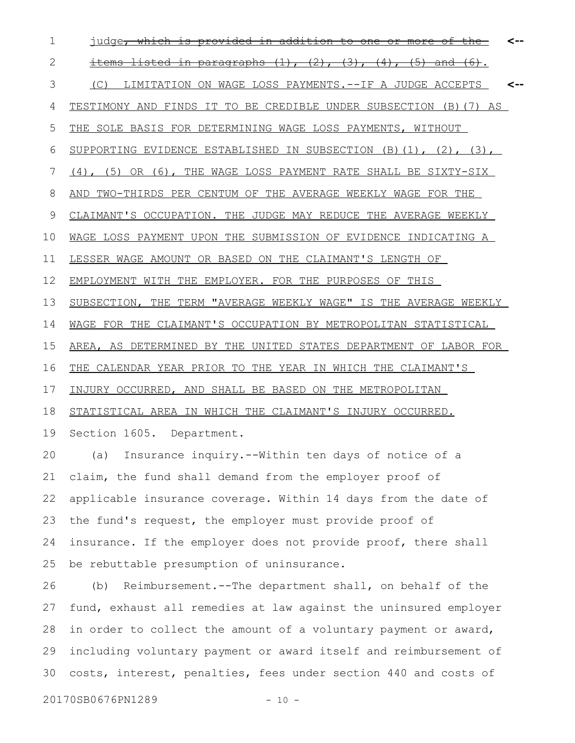judge , which is provided in addition to one or more of the 1 **<-** items listed in paragraphs  $(1)$ ,  $(2)$ ,  $(3)$ ,  $(4)$ ,  $(5)$  and  $(6)$ . (C) LIMITATION ON WAGE LOSS PAYMENTS.--IF A JUDGE ACCEPTS TESTIMONY AND FINDS IT TO BE CREDIBLE UNDER SUBSECTION (B)(7) AS THE SOLE BASIS FOR DETERMINING WAGE LOSS PAYMENTS, WITHOUT SUPPORTING EVIDENCE ESTABLISHED IN SUBSECTION (B)(1), (2), (3), (4), (5) OR (6), THE WAGE LOSS PAYMENT RATE SHALL BE SIXTY-SIX AND TWO-THIRDS PER CENTUM OF THE AVERAGE WEEKLY WAGE FOR THE CLAIMANT'S OCCUPATION. THE JUDGE MAY REDUCE THE AVERAGE WEEKLY WAGE LOSS PAYMENT UPON THE SUBMISSION OF EVIDENCE INDICATING A LESSER WAGE AMOUNT OR BASED ON THE CLAIMANT'S LENGTH OF EMPLOYMENT WITH THE EMPLOYER. FOR THE PURPOSES OF THIS SUBSECTION, THE TERM "AVERAGE WEEKLY WAGE" IS THE AVERAGE WEEKLY WAGE FOR THE CLAIMANT'S OCCUPATION BY METROPOLITAN STATISTICAL AREA, AS DETERMINED BY THE UNITED STATES DEPARTMENT OF LABOR FOR THE CALENDAR YEAR PRIOR TO THE YEAR IN WHICH THE CLAIMANT'S INJURY OCCURRED, AND SHALL BE BASED ON THE METROPOLITAN STATISTICAL AREA IN WHICH THE CLAIMANT'S INJURY OCCURRED. Section 1605. Department. (a) Insurance inquiry.--Within ten days of notice of a claim, the fund shall demand from the employer proof of applicable insurance coverage. Within 14 days from the date of the fund's request, the employer must provide proof of insurance. If the employer does not provide proof, there shall be rebuttable presumption of uninsurance. (b) Reimbursement.--The department shall, on behalf of the fund, exhaust all remedies at law against the uninsured employer in order to collect the amount of a voluntary payment or award, **<--** 2 3 4 5 6 7 8 9 10 11 12 13 14 15 16 17 18 19 20 21 22 23 24 25 26 27 28

costs, interest, penalties, fees under section 440 and costs of 30

20170SB0676PN1289 - 10 -

29

including voluntary payment or award itself and reimbursement of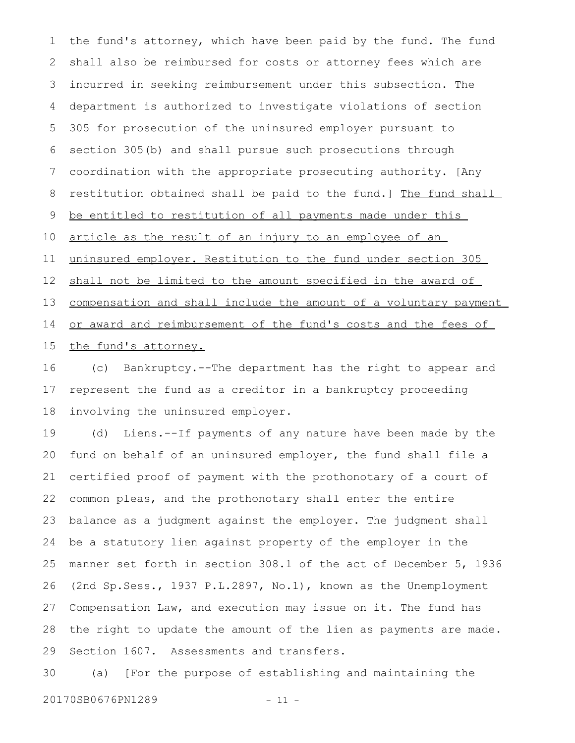the fund's attorney, which have been paid by the fund. The fund shall also be reimbursed for costs or attorney fees which are incurred in seeking reimbursement under this subsection. The department is authorized to investigate violations of section 305 for prosecution of the uninsured employer pursuant to section 305(b) and shall pursue such prosecutions through coordination with the appropriate prosecuting authority. [Any restitution obtained shall be paid to the fund.] The fund shall be entitled to restitution of all payments made under this article as the result of an injury to an employee of an uninsured employer. Restitution to the fund under section 305 shall not be limited to the amount specified in the award of compensation and shall include the amount of a voluntary payment or award and reimbursement of the fund's costs and the fees of the fund's attorney. 1 2 3 4 5 6 7 8 9 10 11 12 13 14 15

(c) Bankruptcy.--The department has the right to appear and represent the fund as a creditor in a bankruptcy proceeding involving the uninsured employer. 16 17 18

(d) Liens.--If payments of any nature have been made by the fund on behalf of an uninsured employer, the fund shall file a certified proof of payment with the prothonotary of a court of common pleas, and the prothonotary shall enter the entire balance as a judgment against the employer. The judgment shall be a statutory lien against property of the employer in the manner set forth in section 308.1 of the act of December 5, 1936 (2nd Sp.Sess., 1937 P.L.2897, No.1), known as the Unemployment Compensation Law, and execution may issue on it. The fund has the right to update the amount of the lien as payments are made. Section 1607. Assessments and transfers. 19 20 21 22 23 24 25 26 27 28 29

(a) [For the purpose of establishing and maintaining the 20170SB0676PN1289 - 11 -30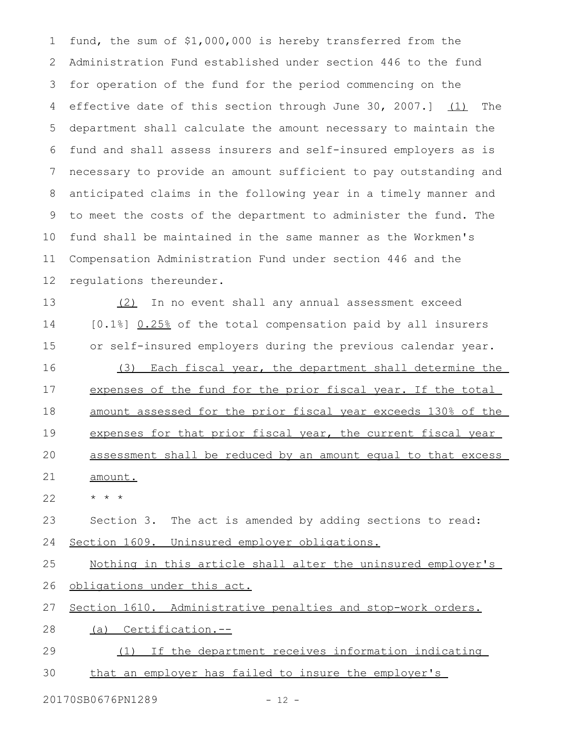fund, the sum of \$1,000,000 is hereby transferred from the Administration Fund established under section 446 to the fund for operation of the fund for the period commencing on the effective date of this section through June 30, 2007.] (1) The department shall calculate the amount necessary to maintain the fund and shall assess insurers and self-insured employers as is necessary to provide an amount sufficient to pay outstanding and anticipated claims in the following year in a timely manner and to meet the costs of the department to administer the fund. The fund shall be maintained in the same manner as the Workmen's Compensation Administration Fund under section 446 and the regulations thereunder. 1 2 3 4 5 6 7 8 9 10 11 12

(2) In no event shall any annual assessment exceed [0.1%] 0.25% of the total compensation paid by all insurers or self-insured employers during the previous calendar year. (3) Each fiscal year, the department shall determine the expenses of the fund for the prior fiscal year. If the total amount assessed for the prior fiscal year exceeds 130% of the expenses for that prior fiscal year, the current fiscal year assessment shall be reduced by an amount equal to that excess amount. 13 14 15 16 17 18 19 20 21

\* \* \* 22

Section 3. The act is amended by adding sections to read: Section 1609. Uninsured employer obligations. 23 24

Nothing in this article shall alter the uninsured employer's obligations under this act. 25 26

Section 1610. Administrative penalties and stop-work orders. 27

(a) Certification.-- 28

(1) If the department receives information indicating that an employer has failed to insure the employer's 29 30

20170SB0676PN1289 - 12 -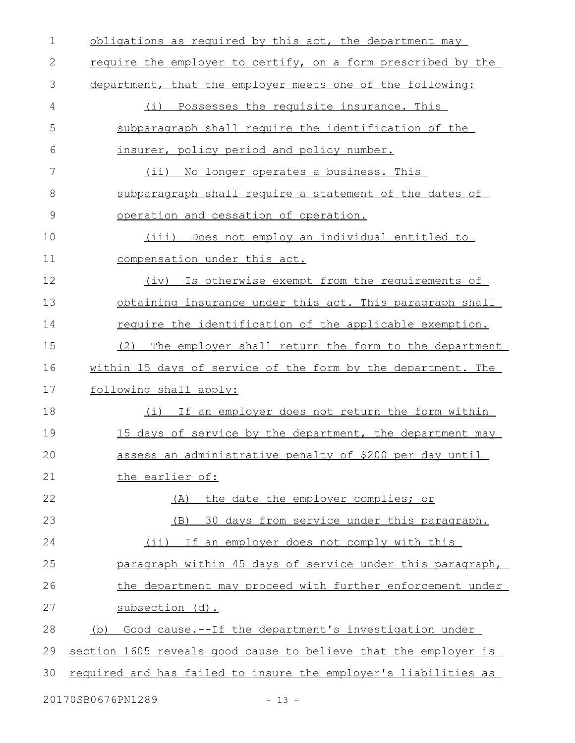| $\mathbf 1$   | obligations as required by this act, the department may         |
|---------------|-----------------------------------------------------------------|
| 2             | require the employer to certify, on a form prescribed by the    |
| 3             | department, that the employer meets one of the following:       |
| 4             | (i) Possesses the requisite insurance. This                     |
| 5             | subparagraph shall require the identification of the            |
| 6             | insurer, policy period and policy number.                       |
| 7             | No longer operates a business. This<br>$(i$ i)                  |
| 8             | subparagraph shall require a statement of the dates of          |
| $\mathcal{G}$ | operation and cessation of operation.                           |
| 10            | (iii) Does not employ an individual entitled to                 |
| 11            | compensation under this act.                                    |
| 12            | (iv) Is otherwise exempt from the requirements of               |
| 13            | obtaining insurance under this act. This paragraph shall        |
| 14            | require the identification of the applicable exemption.         |
| 15            | (2)<br>The employer shall return the form to the department     |
| 16            | within 15 days of service of the form by the department. The    |
| 17            | following shall apply:                                          |
| 18            | (i) If an employer does not return the form within              |
| 19            | 15 days of service by the department, the department may        |
| 20            | assess an administrative penalty of \$200 per day until         |
| 21            | the earlier of:                                                 |
| 22            | the date the employer complies; or<br>(A)                       |
| 23            | 30 days from service under this paragraph.<br>(B)               |
| 24            | (ii) If an employer does not comply with this                   |
| 25            | paragraph within 45 days of service under this paragraph,       |
| 26            | the department may proceed with further enforcement under       |
| 27            | subsection (d).                                                 |
| 28            | (b) Good cause.--If the department's investigation under        |
| 29            | section 1605 reveals good cause to believe that the employer is |
| 30            | required and has failed to insure the employer's liabilities as |
|               |                                                                 |

20170SB0676PN1289 - 13 -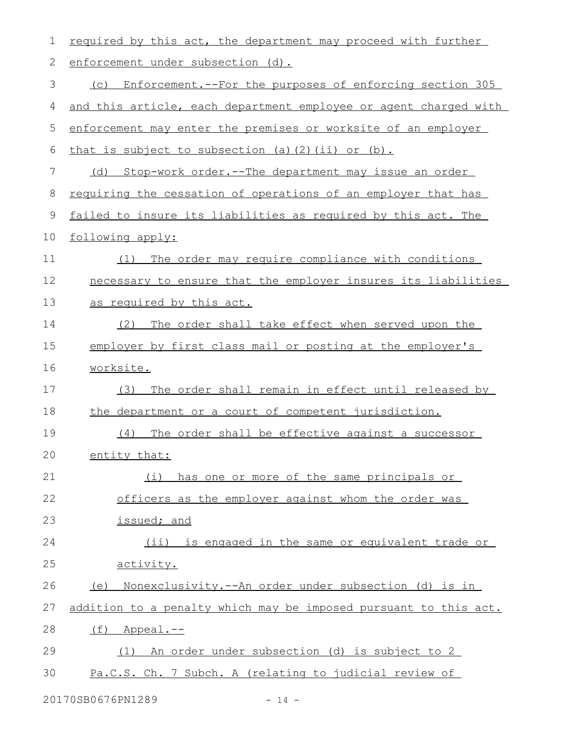| 1  | required by this act, the department may proceed with further    |  |  |  |  |  |  |  |  |
|----|------------------------------------------------------------------|--|--|--|--|--|--|--|--|
| 2  | enforcement under subsection (d).                                |  |  |  |  |  |  |  |  |
| 3  | Enforcement.--For the purposes of enforcing section 305<br>(C)   |  |  |  |  |  |  |  |  |
| 4  | and this article, each department employee or agent charged with |  |  |  |  |  |  |  |  |
| 5  | enforcement may enter the premises or worksite of an employer    |  |  |  |  |  |  |  |  |
| 6  | that is subject to subsection (a) (2) (ii) or (b).               |  |  |  |  |  |  |  |  |
| 7  | Stop-work order.--The department may issue an order<br>(d)       |  |  |  |  |  |  |  |  |
| 8  | requiring the cessation of operations of an employer that has    |  |  |  |  |  |  |  |  |
| 9  | failed to insure its liabilities as required by this act. The    |  |  |  |  |  |  |  |  |
| 10 | following apply:                                                 |  |  |  |  |  |  |  |  |
| 11 | The order may require compliance with conditions<br>(1)          |  |  |  |  |  |  |  |  |
| 12 | necessary to ensure that the employer insures its liabilities    |  |  |  |  |  |  |  |  |
| 13 | as required by this act.                                         |  |  |  |  |  |  |  |  |
| 14 | The order shall take effect when served upon the<br>(2)          |  |  |  |  |  |  |  |  |
| 15 | employer by first class mail or posting at the employer's        |  |  |  |  |  |  |  |  |
| 16 | worksite.                                                        |  |  |  |  |  |  |  |  |
| 17 | The order shall remain in effect until released by<br>(3)        |  |  |  |  |  |  |  |  |
| 18 | the department or a court of competent jurisdiction.             |  |  |  |  |  |  |  |  |
| 19 | The order shall be effective against a successor<br>(4)          |  |  |  |  |  |  |  |  |
| 20 | entity that:                                                     |  |  |  |  |  |  |  |  |
| 21 | (i) has one or more of the same principals or                    |  |  |  |  |  |  |  |  |
| 22 | officers as the employer against whom the order was              |  |  |  |  |  |  |  |  |
| 23 | issued; and                                                      |  |  |  |  |  |  |  |  |
| 24 | (ii) is engaged in the same or equivalent trade or               |  |  |  |  |  |  |  |  |
| 25 | activity.                                                        |  |  |  |  |  |  |  |  |
| 26 | (e) Nonexclusivity.--An order under subsection (d) is in         |  |  |  |  |  |  |  |  |
| 27 | addition to a penalty which may be imposed pursuant to this act. |  |  |  |  |  |  |  |  |
| 28 | (f)<br>Appeal.--                                                 |  |  |  |  |  |  |  |  |
| 29 | An order under subsection (d) is subject to 2<br>(1)             |  |  |  |  |  |  |  |  |
| 30 | Pa.C.S. Ch. 7 Subch. A (relating to judicial review of           |  |  |  |  |  |  |  |  |
|    |                                                                  |  |  |  |  |  |  |  |  |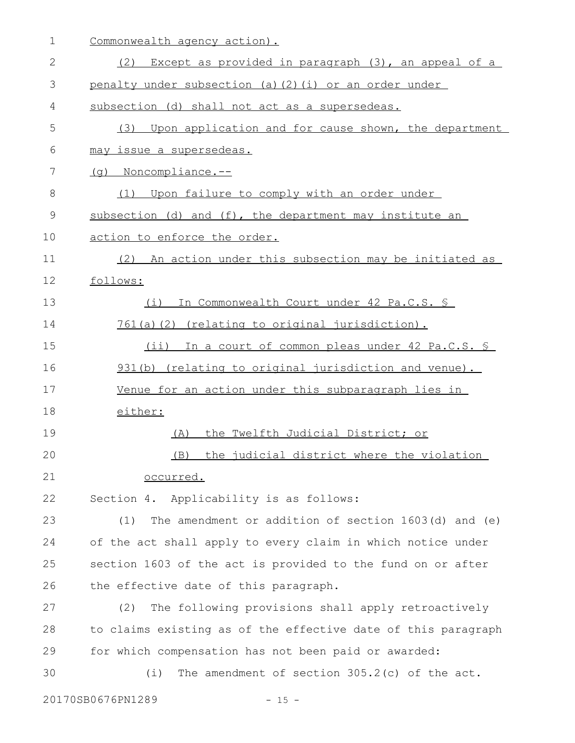| 1             | Commonwealth agency action).                                  |  |  |  |  |  |  |  |  |  |
|---------------|---------------------------------------------------------------|--|--|--|--|--|--|--|--|--|
| $\mathbf{2}$  | (2)<br>Except as provided in paragraph (3), an appeal of a    |  |  |  |  |  |  |  |  |  |
| 3             | penalty under subsection (a) (2) (i) or an order under        |  |  |  |  |  |  |  |  |  |
| 4             | subsection (d) shall not act as a supersedeas.                |  |  |  |  |  |  |  |  |  |
| 5             | Upon application and for cause shown, the department<br>(3)   |  |  |  |  |  |  |  |  |  |
| 6             | may issue a supersedeas.                                      |  |  |  |  |  |  |  |  |  |
| 7             | $(q)$ Noncompliance.--                                        |  |  |  |  |  |  |  |  |  |
| 8             | Upon failure to comply with an order under<br>(1)             |  |  |  |  |  |  |  |  |  |
| $\mathcal{G}$ | subsection (d) and (f), the department may institute an       |  |  |  |  |  |  |  |  |  |
| 10            | action to enforce the order.                                  |  |  |  |  |  |  |  |  |  |
| 11            | (2) An action under this subsection may be initiated as       |  |  |  |  |  |  |  |  |  |
| 12            | follows:                                                      |  |  |  |  |  |  |  |  |  |
| 13            | In Commonwealth Court under 42 Pa.C.S. §<br>(i)               |  |  |  |  |  |  |  |  |  |
| 14            | 761(a)(2) (relating to original jurisdiction).                |  |  |  |  |  |  |  |  |  |
| 15            | (ii) In a court of common pleas under 42 Pa.C.S. S            |  |  |  |  |  |  |  |  |  |
| 16            | 931(b) (relating to original jurisdiction and venue).         |  |  |  |  |  |  |  |  |  |
| 17            | Venue for an action under this subparagraph lies in           |  |  |  |  |  |  |  |  |  |
| 18            | either:                                                       |  |  |  |  |  |  |  |  |  |
| 19            | the Twelfth Judicial District; or<br>(A)                      |  |  |  |  |  |  |  |  |  |
| 20            | the judicial district where the violation<br>(B)              |  |  |  |  |  |  |  |  |  |
| 21            | occurred.                                                     |  |  |  |  |  |  |  |  |  |
| 22            | Section 4. Applicability is as follows:                       |  |  |  |  |  |  |  |  |  |
| 23            | The amendment or addition of section $1603(d)$ and (e)<br>(1) |  |  |  |  |  |  |  |  |  |
| 24            | of the act shall apply to every claim in which notice under   |  |  |  |  |  |  |  |  |  |
| 25            | section 1603 of the act is provided to the fund on or after   |  |  |  |  |  |  |  |  |  |
| 26            | the effective date of this paragraph.                         |  |  |  |  |  |  |  |  |  |
| 27            | The following provisions shall apply retroactively<br>(2)     |  |  |  |  |  |  |  |  |  |
| 28            | to claims existing as of the effective date of this paragraph |  |  |  |  |  |  |  |  |  |
| 29            | for which compensation has not been paid or awarded:          |  |  |  |  |  |  |  |  |  |
| 30            | The amendment of section 305.2(c) of the act.<br>(i)          |  |  |  |  |  |  |  |  |  |
|               | 20170SB0676PN1289<br>- 15 -                                   |  |  |  |  |  |  |  |  |  |